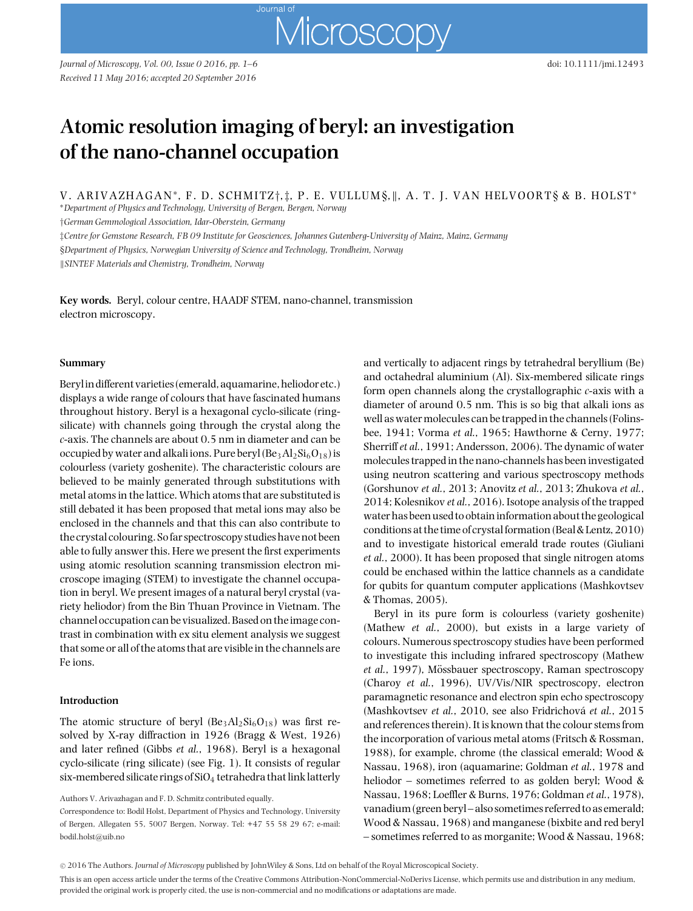# **Atomic resolution imaging of beryl: an investigation of the nano-channel occupation**

Journal of

V. ARIVAZHAGAN∗, F. D. SCHMITZ*†*, *‡*, P. E. VU L LUM §,, A. T. J. VAN HELVOORT§ & B. HOLST<sup>∗</sup>

Microscopy

∗*Department of Physics and Technology, University of Bergen, Bergen, Norway*

*†German Gemmological Association, Idar-Oberstein, Germany*

*‡Centre for Gemstone Research, FB 09 Institute for Geosciences, Johannes Gutenberg-University of Mainz, Mainz, Germany*

§*Department of Physics, Norwegian University of Science and Technology, Trondheim, Norway*

*SINTEF Materials and Chemistry, Trondheim, Norway*

**Key words.** Beryl, colour centre, HAADF STEM, nano-channel, transmission electron microscopy.

## **Summary**

Beryl in different varieties (emerald, aquamarine, heliodor etc.) displays a wide range of colours that have fascinated humans throughout history. Beryl is a hexagonal cyclo-silicate (ringsilicate) with channels going through the crystal along the *c*-axis. The channels are about 0.5 nm in diameter and can be occupied by water and alkali ions. Pure beryl  $(Be_3Al_2Si_6O_{18})$  is colourless (variety goshenite). The characteristic colours are believed to be mainly generated through substitutions with metal atoms in the lattice. Which atoms that are substituted is still debated it has been proposed that metal ions may also be enclosed in the channels and that this can also contribute to the crystal colouring. Sofar spectroscopy studies have not been able to fully answer this. Here we present the first experiments using atomic resolution scanning transmission electron microscope imaging (STEM) to investigate the channel occupation in beryl. We present images of a natural beryl crystal (variety heliodor) from the Bin Thuan Province in Vietnam. The channel occupation can be visualized. Based on the image contrast in combination with ex situ element analysis we suggest that some or all of the atoms that are visible in the channels are Fe ions.

#### **Introduction**

The atomic structure of beryl  $(Be_3Al_2Si_6O_{18})$  was first resolved by X-ray diffraction in 1926 (Bragg & West, 1926) and later refined (Gibbs *et al.*, 1968). Beryl is a hexagonal cyclo-silicate (ring silicate) (see Fig. 1). It consists of regular six-membered silicate rings of  $SiO<sub>4</sub>$  tetrahedra that link latterly

Authors V. Arivazhagan and F. D. Schmitz contributed equally.

Correspondence to: Bodil Holst, Department of Physics and Technology, University of Bergen, Allegaten 55, 5007 Bergen, Norway. Tel: +47 55 58 29 67; e-mail: bodil.holst@uib.no

and vertically to adjacent rings by tetrahedral beryllium (Be) and octahedral aluminium (Al). Six-membered silicate rings form open channels along the crystallographic *c*-axis with a diameter of around 0.5 nm. This is so big that alkali ions as well as water molecules can be trapped in the channels (Folinsbee, 1941; Vorma *et al.*, 1965; Hawthorne & Cerny, 1977; Sherriff*et al.*, 1991; Andersson, 2006). The dynamic of water molecules trapped in the nano-channels has been investigated using neutron scattering and various spectroscopy methods (Gorshunov *et al.*, 2013; Anovitz *et al.*, 2013; Zhukova *et al.*, 2014; Kolesnikov *et al.*, 2016). Isotope analysis of the trapped water has been used to obtain information about the geological conditions at the time of crystal formation (Beal & Lentz, 2010) and to investigate historical emerald trade routes (Giuliani *et al.*, 2000). It has been proposed that single nitrogen atoms could be enchased within the lattice channels as a candidate for qubits for quantum computer applications (Mashkovtsev & Thomas, 2005).

Beryl in its pure form is colourless (variety goshenite) (Mathew *et al.*, 2000), but exists in a large variety of colours. Numerous spectroscopy studies have been performed to investigate this including infrared spectroscopy (Mathew *et al.*, 1997), Mössbauer spectroscopy, Raman spectroscopy (Charoy *et al.*, 1996), UV/Vis/NIR spectroscopy, electron paramagnetic resonance and electron spin echo spectroscopy (Mashkovtsev et al., 2010, see also Fridrichová et al., 2015 and references therein). It is known that the colour stems from the incorporation of various metal atoms (Fritsch & Rossman, 1988), for example, chrome (the classical emerald; Wood & Nassau, 1968), iron (aquamarine; Goldman *et al.*, 1978 and heliodor – sometimes referred to as golden beryl; Wood & Nassau, 1968; Loeffler & Burns, 1976; Goldman *et al.*, 1978), vanadium (green beryl – also sometimes referred to as emerald; Wood & Nassau, 1968) and manganese (bixbite and red beryl – sometimes referred to as morganite; Wood & Nassau, 1968;

<sup>C</sup> 2016 The Authors. *Journal of Microscopy* published by JohnWiley & Sons, Ltd on behalf of the Royal Microscopical Society.

This is an open access article under the terms of the Creative Commons Attribution-NonCommercial-NoDerivs License, which permits use and distribution in any medium, provided the original work is properly cited, the use is non-commercial and no modifications or adaptations are made.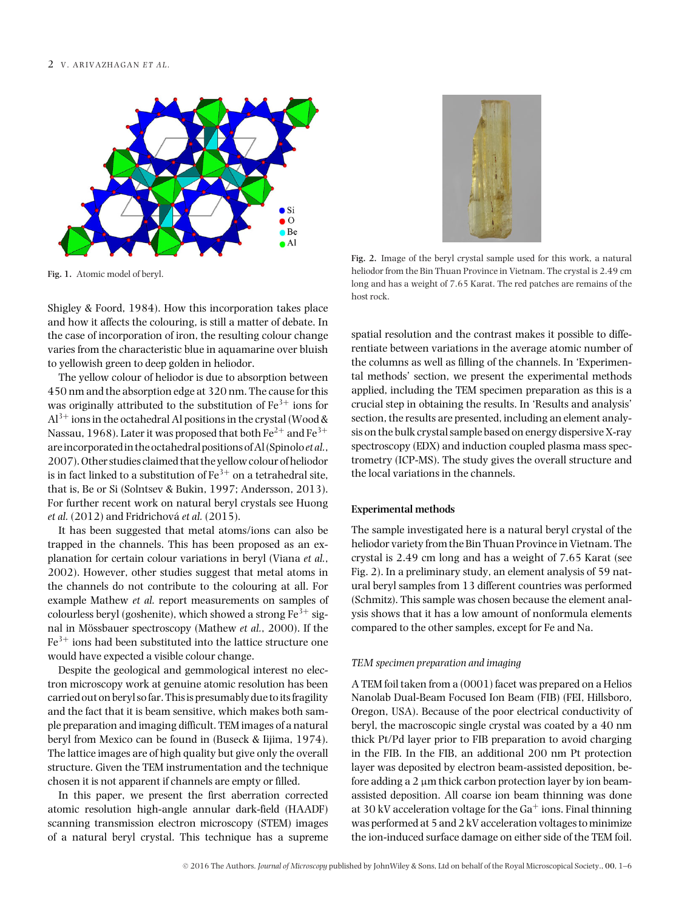

**Fig. 1.** Atomic model of beryl.

Shigley & Foord, 1984). How this incorporation takes place and how it affects the colouring, is still a matter of debate. In the case of incorporation of iron, the resulting colour change varies from the characteristic blue in aquamarine over bluish to yellowish green to deep golden in heliodor.

The yellow colour of heliodor is due to absorption between 450 nm and the absorption edge at 320 nm. The cause for this was originally attributed to the substitution of  $Fe^{3+}$  ions for  $Al^{3+}$  ions in the octahedral Al positions in the crystal (Wood & Nassau, 1968). Later it was proposed that both  $Fe^{2+}$  and  $Fe^{3+}$ areincorporatedin the octahedral positions of Al (Spinolo*et al.*, 2007). Other studies claimed that the yellow colour of heliodor is in fact linked to a substitution of  $Fe^{3+}$  on a tetrahedral site, that is, Be or Si (Solntsev & Bukin, 1997; Andersson, 2013). For further recent work on natural beryl crystals see Huong *et al.* (2012) and Fridrichová *et al.* (2015).

It has been suggested that metal atoms/ions can also be trapped in the channels. This has been proposed as an explanation for certain colour variations in beryl (Viana *et al.*, 2002). However, other studies suggest that metal atoms in the channels do not contribute to the colouring at all. For example Mathew *et al.* report measurements on samples of colourless beryl (goshenite), which showed a strong  $Fe^{3+}$  signal in Mössbauer spectroscopy (Mathew *et al.*, 2000). If the  $Fe<sup>3+</sup>$  ions had been substituted into the lattice structure one would have expected a visible colour change.

Despite the geological and gemmological interest no electron microscopy work at genuine atomic resolution has been carried out on beryl so far. This is presumably due to its fragility and the fact that it is beam sensitive, which makes both sample preparation and imaging difficult. TEM images of a natural beryl from Mexico can be found in (Buseck & Iijima, 1974). The lattice images are of high quality but give only the overall structure. Given the TEM instrumentation and the technique chosen it is not apparent if channels are empty or filled.

In this paper, we present the first aberration corrected atomic resolution high-angle annular dark-field (HAADF) scanning transmission electron microscopy (STEM) images of a natural beryl crystal. This technique has a supreme



**Fig. 2.** Image of the beryl crystal sample used for this work, a natural heliodor from the Bin Thuan Province in Vietnam. The crystal is 2.49 cm long and has a weight of 7.65 Karat. The red patches are remains of the host rock.

spatial resolution and the contrast makes it possible to differentiate between variations in the average atomic number of the columns as well as filling of the channels. In 'Experimental methods' section, we present the experimental methods applied, including the TEM specimen preparation as this is a crucial step in obtaining the results. In 'Results and analysis' section, the results are presented, including an element analysis on the bulk crystal sample based on energy dispersive X-ray spectroscopy (EDX) and induction coupled plasma mass spectrometry (ICP-MS). The study gives the overall structure and the local variations in the channels.

## **Experimental methods**

The sample investigated here is a natural beryl crystal of the heliodor variety from the Bin Thuan Province in Vietnam. The crystal is 2.49 cm long and has a weight of 7.65 Karat (see Fig. 2). In a preliminary study, an element analysis of 59 natural beryl samples from 13 different countries was performed (Schmitz). This sample was chosen because the element analysis shows that it has a low amount of nonformula elements compared to the other samples, except for Fe and Na.

#### *TEM specimen preparation and imaging*

A TEM foil taken from a (0001) facet was prepared on a Helios Nanolab Dual-Beam Focused Ion Beam (FIB) (FEI, Hillsboro, Oregon, USA). Because of the poor electrical conductivity of beryl, the macroscopic single crystal was coated by a 40 nm thick Pt/Pd layer prior to FIB preparation to avoid charging in the FIB. In the FIB, an additional 200 nm Pt protection layer was deposited by electron beam-assisted deposition, before adding a  $2 \mu m$  thick carbon protection layer by ion beamassisted deposition. All coarse ion beam thinning was done at 30 kV acceleration voltage for the  $Ga^+$  ions. Final thinning was performed at 5 and 2 kV acceleration voltages to minimize the ion-induced surface damage on either side of the TEM foil.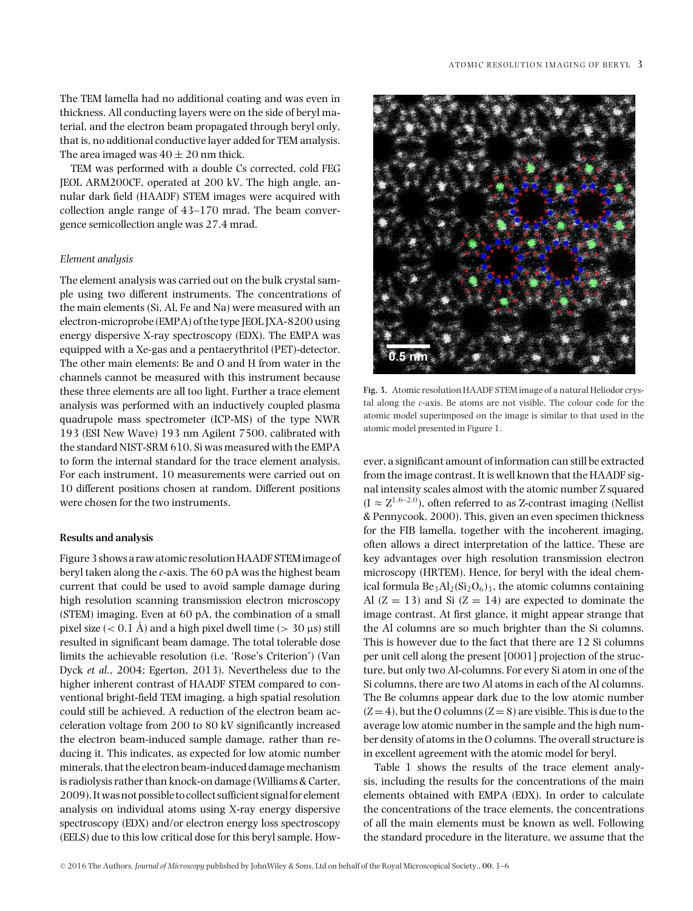The TEM lamella had no additional coating and was even in thickness. All conducting layers were on the side of beryl material, and the electron beam propagated through beryl only, that is, no additional conductive layer added for TEM analysis. The area imaged was  $40 \pm 20$  nm thick.

TEM was performed with a double Cs corrected, cold FEG JEOL ARM200CF, operated at 200 kV. The high angle, annular dark field (HAADF) STEM images were acquired with collection angle range of 43–170 mrad. The beam convergence semicollection angle was 27.4 mrad.

## *Element analysis*

The element analysis was carried out on the bulk crystal sample using two different instruments. The concentrations of the main elements (Si, Al, Fe and Na) were measured with an electron-microprobe (EMPA) of the type JEOL JXA-8200 using energy dispersive X-ray spectroscopy (EDX). The EMPA was equipped with a Xe-gas and a pentaerythritol (PET)-detector. The other main elements: Be and O and H from water in the channels cannot be measured with this instrument because these three elements are all too light. Further a trace element analysis was performed with an inductively coupled plasma quadrupole mass spectrometer (ICP-MS) of the type NWR 193 (ESI New Wave) 193 nm Agilent 7500, calibrated with the standard NIST-SRM 610. Si was measured with the EMPA to form the internal standard for the trace element analysis. For each instrument, 10 measurements were carried out on 10 different positions chosen at random. Different positions were chosen for the two instruments.

## **Results and analysis**

Figure 3 shows a raw atomic resolution HAADF STEMimage of beryl taken along the *c*-axis. The 60 pA was the highest beam current that could be used to avoid sample damage during high resolution scanning transmission electron microscopy (STEM) imaging. Even at 60 pA, the combination of a small pixel size  $(< 0.1 \text{ Å})$  and a high pixel dwell time  $(> 30 \text{ }\mu\text{s})$  still resulted in significant beam damage. The total tolerable dose limits the achievable resolution (i.e. 'Rose's Criterion') (Van Dyck *et al.*, 2004; Egerton, 2013). Nevertheless due to the higher inherent contrast of HAADF STEM compared to conventional bright-field TEM imaging, a high spatial resolution could still be achieved. A reduction of the electron beam acceleration voltage from 200 to 80 kV significantly increased the electron beam-induced sample damage, rather than reducing it. This indicates, as expected for low atomic number minerals, that the electron beam-induced damage mechanism is radiolysis rather than knock-on damage (Williams & Carter, 2009). Itwas not possible to collect sufficient signalfor element analysis on individual atoms using X-ray energy dispersive spectroscopy (EDX) and/or electron energy loss spectroscopy (EELS) due to this low critical dose for this beryl sample. How-



**Fig. 3.** Atomic resolution HAADF STEM image of a natural Heliodor crystal along the *c*-axis. Be atoms are not visible. The colour code for the atomic model superimposed on the image is similar to that used in the atomic model presented in Figure 1.

ever, a significant amount of information can still be extracted from the image contrast. It is well known that the HAADF signal intensity scales almost with the atomic number *Z* squared  $(I \approx Z^{1.6-2.0})$ , often referred to as Z-contrast imaging (Nellist & Pennycook, 2000). This, given an even specimen thickness for the FIB lamella, together with the incoherent imaging, often allows a direct interpretation of the lattice. These are key advantages over high resolution transmission electron microscopy (HRTEM). Hence, for beryl with the ideal chemical formula  $Be_3Al_2(Si_2O_6)_3$ , the atomic columns containing Al  $(Z = 13)$  and Si  $(Z = 14)$  are expected to dominate the image contrast. At first glance, it might appear strange that the Al columns are so much brighter than the Si columns. This is however due to the fact that there are 12 Si columns per unit cell along the present [0001] projection of the structure, but only two Al-columns. For every Si atom in one of the Si columns, there are two Al atoms in each of the Al columns. The Be columns appear dark due to the low atomic number  $(Z = 4)$ , but the O columns  $(Z = 8)$  are visible. This is due to the average low atomic number in the sample and the high number density of atoms in the O columns. The overall structure is in excellent agreement with the atomic model for beryl.

Table 1 shows the results of the trace element analysis, including the results for the concentrations of the main elements obtained with EMPA (EDX). In order to calculate the concentrations of the trace elements, the concentrations of all the main elements must be known as well. Following the standard procedure in the literature, we assume that the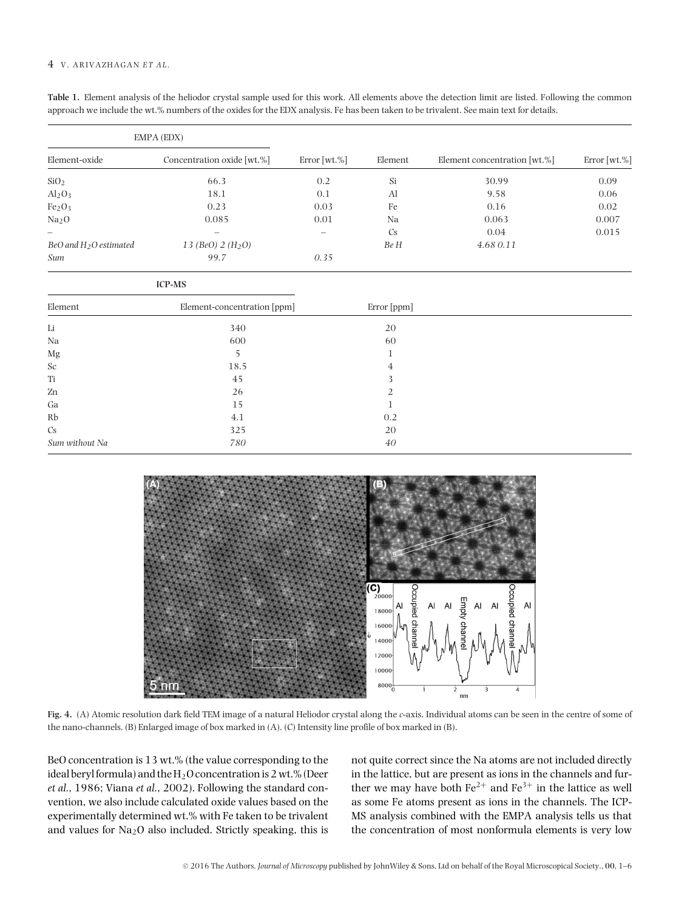## 4 V. ARIVAZHAGAN *ET AL*.

| Table 1. Element analysis of the heliodor crystal sample used for this work. All elements above the detection limit are listed. Following the common |
|------------------------------------------------------------------------------------------------------------------------------------------------------|
| approach we include the wt.% numbers of the oxides for the EDX analysis. Fe has been taken to be trivalent. See main text for details.               |

| EMPA (EDX)                     |                             |              |                |                              |              |
|--------------------------------|-----------------------------|--------------|----------------|------------------------------|--------------|
| Element-oxide                  | Concentration oxide [wt.%]  | Error [wt.%] | Element        | Element concentration [wt.%] | Error [wt.%] |
| SiO <sub>2</sub>               | 66.3                        | 0.2          | Si             | 30.99                        | 0.09         |
| Al <sub>2</sub> O <sub>3</sub> | 18.1                        | 0.1          | Al             | 9.58                         | 0.06         |
| Fe <sub>2</sub> O <sub>3</sub> | 0.23                        | 0.03         | Fe             | 0.16                         | 0.02         |
| Na <sub>2</sub> O              | 0.085                       | 0.01         | Na             | 0.063                        | 0.007        |
|                                |                             |              | $\mathbb{C}$ s | 0.04                         | 0.015        |
| BeO and $H_2O$ estimated       | 13 (BeO) $2(H_2O)$          |              | Be H           | 4.680.11                     |              |
| Sum                            | 99.7                        | 0.35         |                |                              |              |
|                                | <b>ICP-MS</b>               |              |                |                              |              |
| Element                        | Element-concentration [ppm] |              | Error [ppm]    |                              |              |
| Li                             | 340                         |              | 20             |                              |              |
| Na                             | 600                         |              | 60             |                              |              |
| Mg                             | 5                           |              | 1              |                              |              |
| Sc                             | 18.5                        |              | 4              |                              |              |
| Ti                             | 45                          |              | 3              |                              |              |
| Zn                             | 26                          |              | 2              |                              |              |
| Ga                             | 15                          |              | $\mathbf{1}$   |                              |              |
| Rb                             | 4.1                         |              | 0.2            |                              |              |
| Cs                             | 325                         |              | 20             |                              |              |
| Sum without Na                 | 780                         |              | 40             |                              |              |



**Fig. 4.** (A) Atomic resolution dark field TEM image of a natural Heliodor crystal along the *c*-axis. Individual atoms can be seen in the centre of some of the nano-channels. (B) Enlarged image of box marked in (A). (C) Intensity line profile of box marked in (B).

BeO concentration is 13 wt.% (the value corresponding to the ideal beryl formula) and the  $H_2O$  concentration is 2 wt.% (Deer *et al.*, 1986; Viana *et al.*, 2002). Following the standard convention, we also include calculated oxide values based on the experimentally determined wt.% with Fe taken to be trivalent and values for  $Na<sub>2</sub>O$  also included. Strictly speaking, this is not quite correct since the Na atoms are not included directly in the lattice, but are present as ions in the channels and further we may have both  $Fe^{2+}$  and  $Fe^{3+}$  in the lattice as well as some Fe atoms present as ions in the channels. The ICP-MS analysis combined with the EMPA analysis tells us that the concentration of most nonformula elements is very low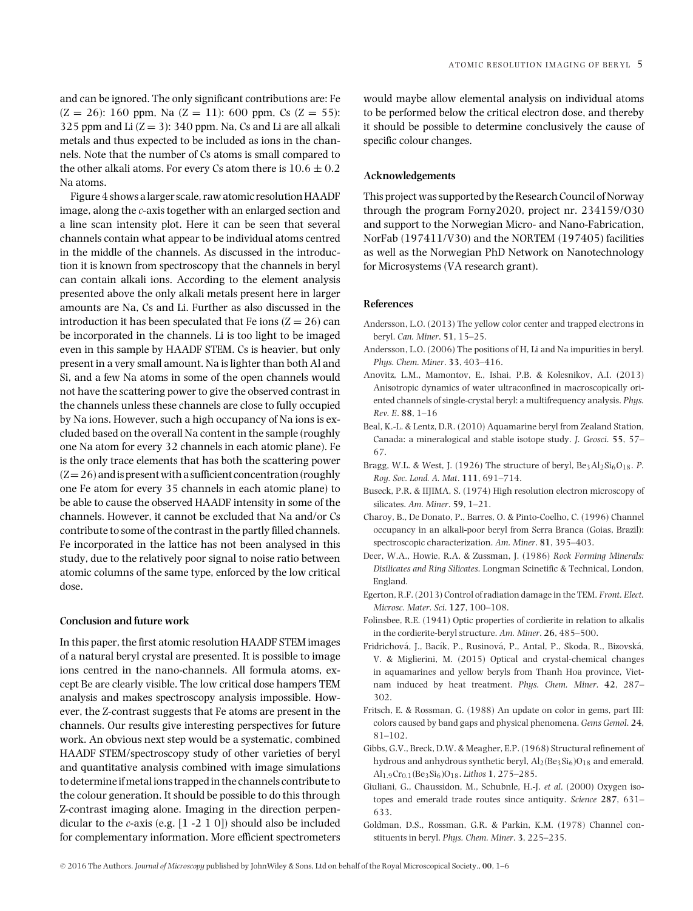and can be ignored. The only significant contributions are: Fe  $(Z = 26)$ : 160 ppm, Na  $(Z = 11)$ : 600 ppm, Cs  $(Z = 55)$ : 325 ppm and Li  $(Z = 3)$ : 340 ppm. Na, Cs and Li are all alkali metals and thus expected to be included as ions in the channels. Note that the number of Cs atoms is small compared to the other alkali atoms. For every Cs atom there is  $10.6 \pm 0.2$ Na atoms.

Figure 4 shows a larger scale, raw atomic resolution HAADF image, along the *c*-axis together with an enlarged section and a line scan intensity plot. Here it can be seen that several channels contain what appear to be individual atoms centred in the middle of the channels. As discussed in the introduction it is known from spectroscopy that the channels in beryl can contain alkali ions. According to the element analysis presented above the only alkali metals present here in larger amounts are Na, Cs and Li. Further as also discussed in the introduction it has been speculated that Fe ions  $(Z = 26)$  can be incorporated in the channels. Li is too light to be imaged even in this sample by HAADF STEM. Cs is heavier, but only present in a very small amount. Na is lighter than both Al and Si, and a few Na atoms in some of the open channels would not have the scattering power to give the observed contrast in the channels unless these channels are close to fully occupied by Na ions. However, such a high occupancy of Na ions is excluded based on the overall Na content in the sample (roughly one Na atom for every 32 channels in each atomic plane). Fe is the only trace elements that has both the scattering power  $(Z=26)$  and is present with a sufficient concentration (roughly one Fe atom for every 35 channels in each atomic plane) to be able to cause the observed HAADF intensity in some of the channels. However, it cannot be excluded that Na and/or Cs contribute to some of the contrast in the partly filled channels. Fe incorporated in the lattice has not been analysed in this study, due to the relatively poor signal to noise ratio between atomic columns of the same type, enforced by the low critical dose.

## **Conclusion and future work**

In this paper, the first atomic resolution HAADF STEM images of a natural beryl crystal are presented. It is possible to image ions centred in the nano-channels. All formula atoms, except Be are clearly visible. The low critical dose hampers TEM analysis and makes spectroscopy analysis impossible. However, the *Z*-contrast suggests that Fe atoms are present in the channels. Our results give interesting perspectives for future work. An obvious next step would be a systematic, combined HAADF STEM/spectroscopy study of other varieties of beryl and quantitative analysis combined with image simulations to determine ifmetal ions trapped in the channels contribute to the colour generation. It should be possible to do this through Z-contrast imaging alone. Imaging in the direction perpendicular to the *c*-axis (e.g. [1 -2 1 0]) should also be included for complementary information. More efficient spectrometers

would maybe allow elemental analysis on individual atoms to be performed below the critical electron dose, and thereby it should be possible to determine conclusively the cause of specific colour changes.

# **Acknowledgements**

This project was supported by the Research Council of Norway through the program Forny2020, project nr. 234159/O30 and support to the Norwegian Micro- and Nano-Fabrication, NorFab (197411/V30) and the NORTEM (197405) facilities as well as the Norwegian PhD Network on Nanotechnology for Microsystems (VA research grant).

## **References**

- Andersson, L.O. (2013) The yellow color center and trapped electrons in beryl. *Can. Miner*. **51**, 15–25.
- Andersson, L.O. (2006) The positions of H, Li and Na impurities in beryl. *Phys. Chem. Miner*. **33**, 403–416.
- Anovitz, L.M., Mamontov, E., Ishai, P.B. & Kolesnikov, A.I. (2013) Anisotropic dynamics of water ultraconfined in macroscopically oriented channels of single-crystal beryl: a multifrequency analysis. *Phys. Rev. E*. **88**, 1–16
- Beal, K.-L. & Lentz, D.R. (2010) Aquamarine beryl from Zealand Station, Canada: a mineralogical and stable isotope study. *J. Geosci*. **55**, 57– 67.
- Bragg, W.L. & West, J. (1926) The structure of beryl, Be<sub>3</sub>Al<sub>2</sub>Si<sub>6</sub>O<sub>18</sub>. *P. Roy. Soc. Lond. A. Mat*. **111**, 691–714.
- Buseck, P.R. & IIJIMA, S. (1974) High resolution electron microscopy of silicates. *Am. Miner*. **59**, 1–21.
- Charoy, B., De Donato, P., Barres, O. & Pinto-Coelho, C. (1996) Channel occupancy in an alkali-poor beryl from Serra Branca (Goias, Brazil): spectroscopic characterization. *Am. Miner*. **81**, 395–403.
- Deer, W.A., Howie, R.A. & Zussman, J. (1986) *Rock Forming Minerals: Disilicates and Ring Silicates*. Longman Scinetific & Technical, London, England.
- Egerton, R.F. (2013) Control of radiation damage in the TEM. *Front. Elect. Microsc. Mater. Sci*. **127**, 100–108.
- Folinsbee, R.E. (1941) Optic properties of cordierite in relation to alkalis in the cordierite-beryl structure. *Am. Miner*. **26**, 485–500.
- Fridrichová, J., Bacík, P., Rusinová, P., Antal, P., Skoda, R., Bizovská, V. & Miglierini, M. (2015) Optical and crystal-chemical changes in aquamarines and yellow beryls from Thanh Hoa province, Vietnam induced by heat treatment. *Phys. Chem. Miner*. **42**, 287– 302.
- Fritsch, E. & Rossman, G. (1988) An update on color in gems, part III: colors caused by band gaps and physical phenomena. *Gems Gemol*. **24**, 81–102.
- Gibbs, G.V., Breck, D.W. & Meagher, E.P. (1968) Structural refinement of hydrous and anhydrous synthetic beryl,  $Al_2(Be_3Si_6)O_{18}$  and emerald, Al1.9Cr0.1(Be3Si6)O18. *Lithos* **1**, 275–285.
- Giuliani, G., Chaussidon, M., Schubnle, H.-J. *et al*. (2000) Oxygen isotopes and emerald trade routes since antiquity. *Science* **287**, 631– 633.
- Goldman, D.S., Rossman, G.R. & Parkin, K.M. (1978) Channel constituents in beryl. *Phys. Chem. Miner*. **3**, 225–235.